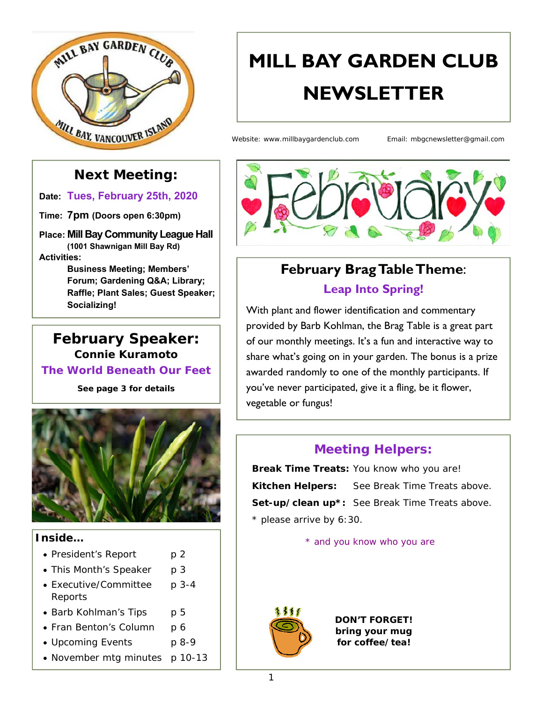

# **MILL BAY GARDEN CLUB NEWSLETTER**

Website: www.millbaygardenclub.com Email: mbgcnewsletter@gmail.com

### **Next Meeting:**

**Date: Tues, February 25th, 2020**

**Time: 7pm (Doors open 6:30pm)** 

**Place: Mill Bay Community League Hall (1001 Shawnigan Mill Bay Rd) Activities:** 

**Business Meeting; Members' Forum; Gardening Q&A; Library; Raffle; Plant Sales; Guest Speaker; Socializing!**

#### **February Speaker: Connie Kuramoto The World Beneath Our Feet**

*See page 3 for details* 



#### **Inside…**

- President's Report p 2
- This Month's Speaker p 3
- Executive/Committee p 3-4 Reports
- Barb Kohlman's Tips p 5
- Fran Benton's Column p 6
- Upcoming Events p 8-9
- November mtg minutes p 10-13



# **February Brag Table Theme**: **Leap Into Spring!**

With plant and flower identification and commentary provided by Barb Kohlman, the Brag Table is a great part of our monthly meetings. It's a fun and interactive way to share what's going on in your garden. The bonus is a prize awarded randomly to one of the monthly participants. If you've never participated, give it a fling, be it flower, vegetable or fungus!

### **Meeting Helpers:**

**Break Time Treats:** You know who you are! **Kitchen Helpers:** See Break Time Treats above. **Set-up/clean up\*:** See Break Time Treats above. *\* please arrive by 6:30.* 

\* and you know who you are



*DON'T FORGET! bring your mug for coffee/tea!*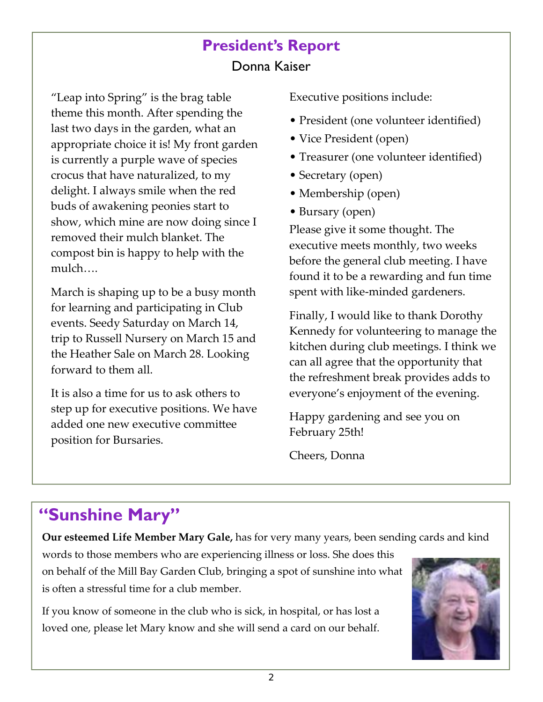# **President's Report**  Donna Kaiser

"Leap into Spring" is the brag table theme this month. After spending the last two days in the garden, what an appropriate choice it is! My front garden is currently a purple wave of species crocus that have naturalized, to my delight. I always smile when the red buds of awakening peonies start to show, which mine are now doing since I removed their mulch blanket. The compost bin is happy to help with the mulch….

March is shaping up to be a busy month for learning and participating in Club events. Seedy Saturday on March 14, trip to Russell Nursery on March 15 and the Heather Sale on March 28. Looking forward to them all.

It is also a time for us to ask others to step up for executive positions. We have added one new executive committee position for Bursaries.

Executive positions include:

- President (one volunteer identified)
- Vice President (open)
- Treasurer (one volunteer identified)
- Secretary (open)
- Membership (open)
- Bursary (open)

Please give it some thought. The executive meets monthly, two weeks before the general club meeting. I have found it to be a rewarding and fun time spent with like‐minded gardeners.

Finally, I would like to thank Dorothy Kennedy for volunteering to manage the kitchen during club meetings. I think we can all agree that the opportunity that the refreshment break provides adds to everyone's enjoyment of the evening.

Happy gardening and see you on February 25th!

Cheers, Donna

# **"Sunshine Mary"**

**Our esteemed Life Member Mary Gale,** has for very many years, been sending cards and kind

words to those members who are experiencing illness or loss. She does this on behalf of the Mill Bay Garden Club, bringing a spot of sunshine into what is often a stressful time for a club member.

If you know of someone in the club who is sick, in hospital, or has lost a loved one, please let Mary know and she will send a card on our behalf.

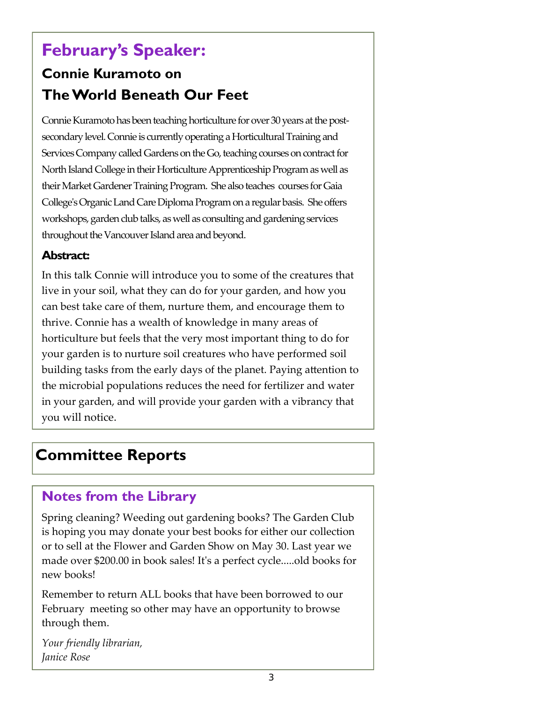# **February's Speaker:**

# **Connie Kuramoto on The World Beneath Our Feet**

Connie Kuramoto has been teaching horticulture for over 30 years at the postsecondary level. Connie is currently operating a Horticultural Training and Services Company called Gardens on the Go, teaching courses on contract for North Island College in their Horticulture Apprenticeship Program as well as their Market Gardener Training Program. She also teaches courses for Gaia Collegeʹs Organic Land Care Diploma Program on a regular basis. She offers workshops, garden club talks, as well as consulting and gardening services throughout the Vancouver Island area and beyond.

#### **Abstract:**

In this talk Connie will introduce you to some of the creatures that live in your soil, what they can do for your garden, and how you can best take care of them, nurture them, and encourage them to thrive. Connie has a wealth of knowledge in many areas of horticulture but feels that the very most important thing to do for your garden is to nurture soil creatures who have performed soil building tasks from the early days of the planet. Paying attention to the microbial populations reduces the need for fertilizer and water in your garden, and will provide your garden with a vibrancy that you will notice.

# **Committee Reports**

# **Notes from the Library**

Spring cleaning? Weeding out gardening books? The Garden Club is hoping you may donate your best books for either our collection or to sell at the Flower and Garden Show on May 30. Last year we made over \$200.00 in book sales! Itʹs a perfect cycle.....old books for new books!

Remember to return ALL books that have been borrowed to our February meeting so other may have an opportunity to browse through them.

*Your friendly librarian, Janice Rose*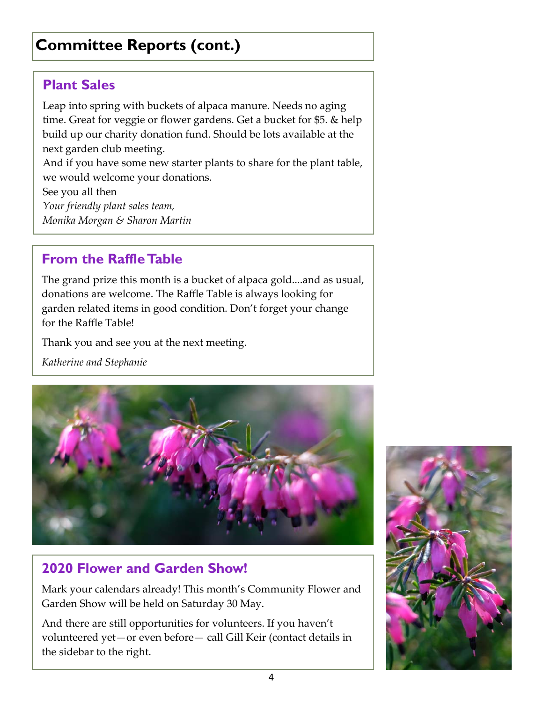# **Committee Reports (cont.)**

# **Plant Sales**

Leap into spring with buckets of alpaca manure. Needs no aging time. Great for veggie or flower gardens. Get a bucket for \$5. & help build up our charity donation fund. Should be lots available at the next garden club meeting.

And if you have some new starter plants to share for the plant table, we would welcome your donations.

See you all then *Your friendly plant sales team, Monika Morgan & Sharon Martin* 

### **From the Raffle Table**

The grand prize this month is a bucket of alpaca gold....and as usual, donations are welcome. The Raffle Table is always looking for garden related items in good condition. Don't forget your change for the Raffle Table!

Thank you and see you at the next meeting.

*Katherine and Stephanie* 



# **2020 Flower and Garden Show!**

Mark your calendars already! This month's Community Flower and Garden Show will be held on Saturday 30 May.

the sidebar to the right. And there are still opportunities for volunteers. If you haven't volunteered yet—or even before— call Gill Keir (contact details in

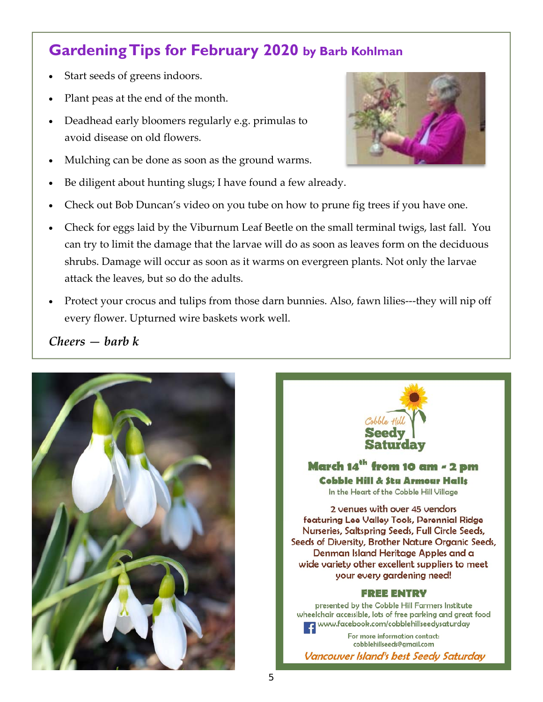# **Gardening Tips for February 2020 by Barb Kohlman**

- Start seeds of greens indoors.
- Plant peas at the end of the month.
- Deadhead early bloomers regularly e.g. primulas to avoid disease on old flowers.
- Mulching can be done as soon as the ground warms.
- Be diligent about hunting slugs; I have found a few already.
- Check out Bob Duncan's video on you tube on how to prune fig trees if you have one.
- Check for eggs laid by the Viburnum Leaf Beetle on the small terminal twigs, last fall. You can try to limit the damage that the larvae will do as soon as leaves form on the deciduous shrubs. Damage will occur as soon as it warms on evergreen plants. Not only the larvae attack the leaves, but so do the adults.
- Protect your crocus and tulips from those darn bunnies. Also, fawn lilies---they will nip off every flower. Upturned wire baskets work well.

#### *Cheers — barb k*





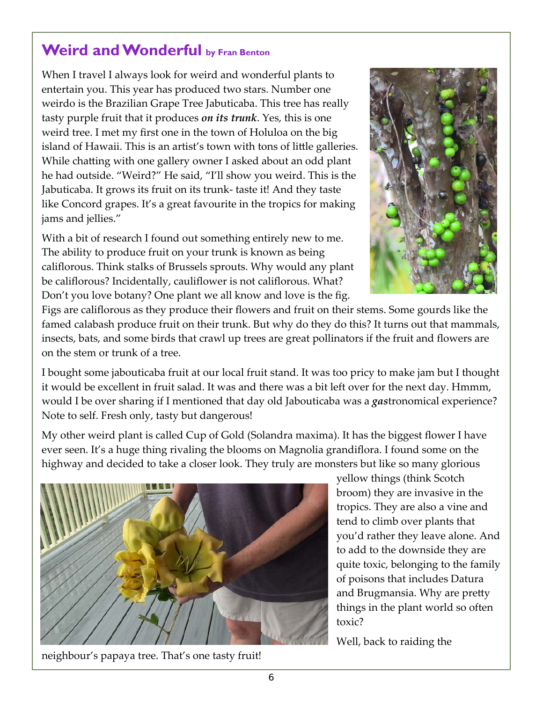# **Weird and Wonderful by Fran Benton**

When I travel I always look for weird and wonderful plants to entertain you. This year has produced two stars. Number one weirdo is the Brazilian Grape Tree Jabuticaba. This tree has really tasty purple fruit that it produces *on its trunk*. Yes, this is one weird tree. I met my first one in the town of Holuloa on the big island of Hawaii. This is an artist's town with tons of little galleries. While chatting with one gallery owner I asked about an odd plant he had outside. "Weird?" He said, "I'll show you weird. This is the Jabuticaba. It grows its fruit on its trunk‐ taste it! And they taste like Concord grapes. It's a great favourite in the tropics for making jams and jellies."

With a bit of research I found out something entirely new to me. The ability to produce fruit on your trunk is known as being califlorous. Think stalks of Brussels sprouts. Why would any plant be califlorous? Incidentally, cauliflower is not califlorous. What? Don't you love botany? One plant we all know and love is the fig.



Figs are califlorous as they produce their flowers and fruit on their stems. Some gourds like the famed calabash produce fruit on their trunk. But why do they do this? It turns out that mammals, insects, bats, and some birds that crawl up trees are great pollinators if the fruit and flowers are on the stem or trunk of a tree.

I bought some jabouticaba fruit at our local fruit stand. It was too pricy to make jam but I thought it would be excellent in fruit salad. It was and there was a bit left over for the next day. Hmmm, would I be over sharing if I mentioned that day old Jabouticaba was a *gas*tronomical experience? Note to self. Fresh only, tasty but dangerous!

My other weird plant is called Cup of Gold (Solandra maxima). It has the biggest flower I have ever seen. It's a huge thing rivaling the blooms on Magnolia grandiflora. I found some on the highway and decided to take a closer look. They truly are monsters but like so many glorious



yellow things (think Scotch broom) they are invasive in the tropics. They are also a vine and tend to climb over plants that you'd rather they leave alone. And to add to the downside they are quite toxic, belonging to the family of poisons that includes Datura and Brugmansia. Why are pretty things in the plant world so often toxic?

Well, back to raiding the

neighbour's papaya tree. That's one tasty fruit!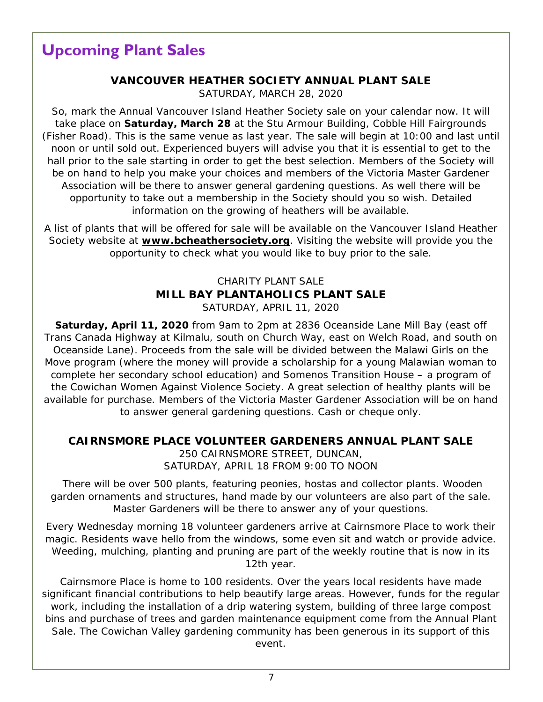# **Upcoming Plant Sales**

#### **VANCOUVER HEATHER SOCIETY ANNUAL PLANT SALE**  SATURDAY, MARCH 28, 2020

So, mark the Annual Vancouver Island Heather Society sale on your calendar now. It will take place on **Saturday, March 28** at the Stu Armour Building, Cobble Hill Fairgrounds (Fisher Road). This is the same venue as last year. The sale will begin at 10:00 and last until noon or until sold out. Experienced buyers will advise you that it is essential to get to the hall prior to the sale starting in order to get the best selection. Members of the Society will be on hand to help you make your choices and members of the Victoria Master Gardener Association will be there to answer general gardening questions. As well there will be opportunity to take out a membership in the Society should you so wish. Detailed information on the growing of heathers will be available.

A list of plants that will be offered for sale will be available on the Vancouver Island Heather Society website at **www.bcheathersociety.org**. Visiting the website will provide you the opportunity to check what you would like to buy prior to the sale.

#### CHARITY PLANT SALE **MILL BAY PLANTAHOLICS PLANT SALE** SATURDAY, APRIL 11, 2020

**Saturday, April 11, 2020** from 9am to 2pm at 2836 Oceanside Lane Mill Bay (east off Trans Canada Highway at Kilmalu, south on Church Way, east on Welch Road, and south on Oceanside Lane). Proceeds from the sale will be divided between the Malawi Girls on the Move program (where the money will provide a scholarship for a young Malawian woman to complete her secondary school education) and Somenos Transition House – a program of the Cowichan Women Against Violence Society. A great selection of healthy plants will be available for purchase. Members of the Victoria Master Gardener Association will be on hand to answer general gardening questions. Cash or cheque only.

#### **CAIRNSMORE PLACE VOLUNTEER GARDENERS ANNUAL PLANT SALE**

250 CAIRNSMORE STREET, DUNCAN, SATURDAY, APRIL 18 FROM 9:00 TO NOON

 There will be over 500 plants, featuring peonies, hostas and collector plants. Wooden garden ornaments and structures, hand made by our volunteers are also part of the sale. Master Gardeners will be there to answer any of your questions.

Every Wednesday morning 18 volunteer gardeners arrive at Cairnsmore Place to work their magic. Residents wave hello from the windows, some even sit and watch or provide advice. Weeding, mulching, planting and pruning are part of the weekly routine that is now in its 12th year.

Cairnsmore Place is home to 100 residents. Over the years local residents have made significant financial contributions to help beautify large areas. However, funds for the regular work, including the installation of a drip watering system, building of three large compost bins and purchase of trees and garden maintenance equipment come from the Annual Plant Sale. The Cowichan Valley gardening community has been generous in its support of this event.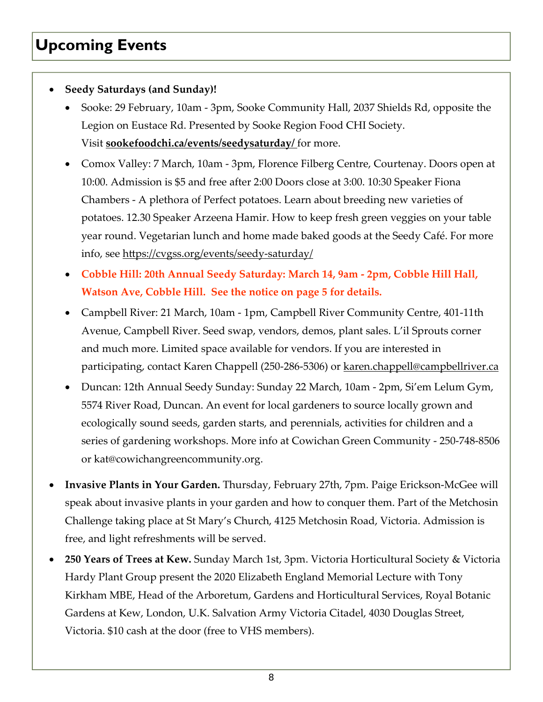# **Upcoming Events**

#### **Seedy Saturdays (and Sunday)!**

- Sooke: 29 February, 10am ‐ 3pm, Sooke Community Hall, 2037 Shields Rd, opposite the Legion on Eustace Rd. Presented by Sooke Region Food CHI Society. Visit **sookefoodchi.ca/events/seedysaturday/** for more.
- Comox Valley: 7 March, 10am ‐ 3pm, Florence Filberg Centre, Courtenay. Doors open at 10:00. Admission is \$5 and free after 2:00 Doors close at 3:00. 10:30 Speaker Fiona Chambers ‐ A plethora of Perfect potatoes. Learn about breeding new varieties of potatoes. 12.30 Speaker Arzeena Hamir. How to keep fresh green veggies on your table year round. Vegetarian lunch and home made baked goods at the Seedy Café. For more info, see https://cvgss.org/events/seedy‐saturday/
- **Cobble Hill: 20th Annual Seedy Saturday: March 14, 9am ‐ 2pm, Cobble Hill Hall, Watson Ave, Cobble Hill. See the notice on page 5 for details.**
- Campbell River: 21 March, 10am ‐ 1pm, Campbell River Community Centre, 401‐11th Avenue, Campbell River. Seed swap, vendors, demos, plant sales. L'il Sprouts corner and much more. Limited space available for vendors. If you are interested in participating, contact Karen Chappell (250-286-5306) or karen.chappell@campbellriver.ca
- Duncan: 12th Annual Seedy Sunday: Sunday 22 March, 10am ‐ 2pm, Si'em Lelum Gym, 5574 River Road, Duncan. An event for local gardeners to source locally grown and ecologically sound seeds, garden starts, and perennials, activities for children and a series of gardening workshops. More info at Cowichan Green Community ‐ 250‐748‐8506 or kat@cowichangreencommunity.org.
- **Invasive Plants in Your Garden.** Thursday, February 27th, 7pm. Paige Erickson‐McGee will speak about invasive plants in your garden and how to conquer them. Part of the Metchosin Challenge taking place at St Mary's Church, 4125 Metchosin Road, Victoria. Admission is free, and light refreshments will be served.
- **250 Years of Trees at Kew.** Sunday March 1st, 3pm. Victoria Horticultural Society & Victoria Hardy Plant Group present the 2020 Elizabeth England Memorial Lecture with Tony Kirkham MBE, Head of the Arboretum, Gardens and Horticultural Services, Royal Botanic Gardens at Kew, London, U.K. Salvation Army Victoria Citadel, 4030 Douglas Street, Victoria. \$10 cash at the door (free to VHS members).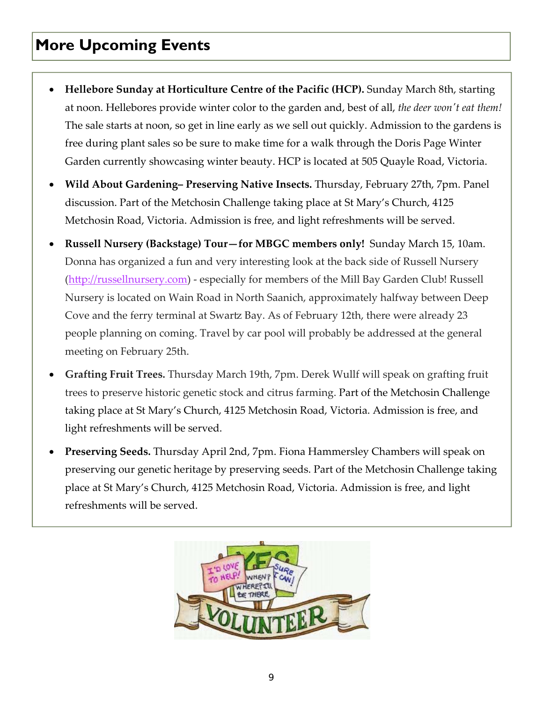# **More Upcoming Events**

- **Hellebore Sunday at Horticulture Centre of the Pacific (HCP).** Sunday March 8th, starting at noon. Hellebores provide winter color to the garden and, best of all, *the deer wonʹt eat them!* The sale starts at noon, so get in line early as we sell out quickly. Admission to the gardens is free during plant sales so be sure to make time for a walk through the Doris Page Winter Garden currently showcasing winter beauty. HCP is located at 505 Quayle Road, Victoria.
- **Wild About Gardening– Preserving Native Insects.** Thursday, February 27th, 7pm. Panel discussion. Part of the Metchosin Challenge taking place at St Mary's Church, 4125 Metchosin Road, Victoria. Admission is free, and light refreshments will be served.
- **Russell Nursery (Backstage) Tour—for MBGC members only!** Sunday March 15, 10am. Donna has organized a fun and very interesting look at the back side of Russell Nursery (http://russellnursery.com) - especially for members of the Mill Bay Garden Club! Russell Nursery is located on Wain Road in North Saanich, approximately halfway between Deep Cove and the ferry terminal at Swartz Bay. As of February 12th, there were already 23 people planning on coming. Travel by car pool will probably be addressed at the general meeting on February 25th.
- **Grafting Fruit Trees.** Thursday March 19th, 7pm. Derek Wullf will speak on grafting fruit trees to preserve historic genetic stock and citrus farming. Part of the Metchosin Challenge taking place at St Mary's Church, 4125 Metchosin Road, Victoria. Admission is free, and light refreshments will be served.
- **Preserving Seeds.** Thursday April 2nd, 7pm. Fiona Hammersley Chambers will speak on preserving our genetic heritage by preserving seeds. Part of the Metchosin Challenge taking place at St Mary's Church, 4125 Metchosin Road, Victoria. Admission is free, and light refreshments will be served.

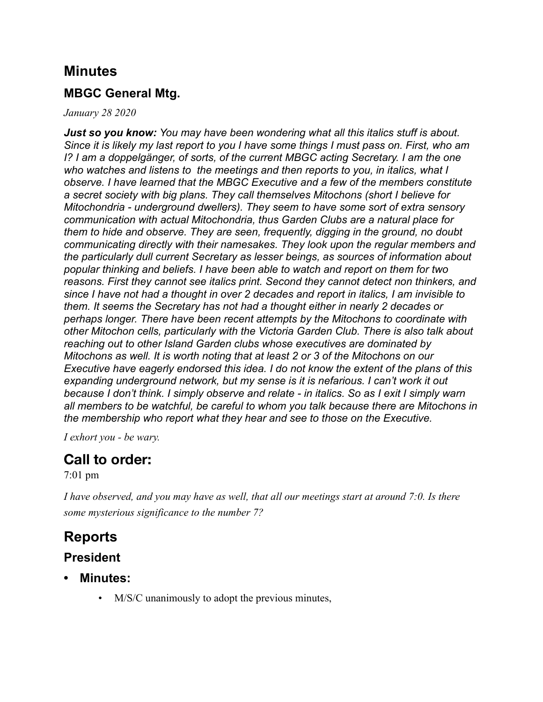### **Minutes**

#### **MBGC General Mtg.**

#### *January 28 2020*

*Just so you know: You may have been wondering what all this italics stuff is about. Since it is likely my last report to you I have some things I must pass on. First, who am I? I am a doppelgänger, of sorts, of the current MBGC acting Secretary. I am the one who watches and listens to the meetings and then reports to you, in italics, what I observe. I have learned that the MBGC Executive and a few of the members constitute a secret society with big plans. They call themselves Mitochons (short I believe for Mitochondria - underground dwellers). They seem to have some sort of extra sensory communication with actual Mitochondria, thus Garden Clubs are a natural place for them to hide and observe. They are seen, frequently, digging in the ground, no doubt communicating directly with their namesakes. They look upon the regular members and the particularly dull current Secretary as lesser beings, as sources of information about popular thinking and beliefs. I have been able to watch and report on them for two reasons. First they cannot see italics print. Second they cannot detect non thinkers, and since I have not had a thought in over 2 decades and report in italics, I am invisible to them. It seems the Secretary has not had a thought either in nearly 2 decades or perhaps longer. There have been recent attempts by the Mitochons to coordinate with other Mitochon cells, particularly with the Victoria Garden Club. There is also talk about reaching out to other Island Garden clubs whose executives are dominated by Mitochons as well. It is worth noting that at least 2 or 3 of the Mitochons on our Executive have eagerly endorsed this idea. I do not know the extent of the plans of this expanding underground network, but my sense is it is nefarious. I can't work it out because I don't think. I simply observe and relate - in italics. So as I exit I simply warn all members to be watchful, be careful to whom you talk because there are Mitochons in the membership who report what they hear and see to those on the Executive.* 

*I exhort you - be wary.* 

### **Call to order:**

#### 7:01 pm

*I have observed, and you may have as well, that all our meetings start at around 7:0. Is there some mysterious significance to the number 7?*

### **Reports**

#### **President**

- **• Minutes:** 
	- M/S/C unanimously to adopt the previous minutes,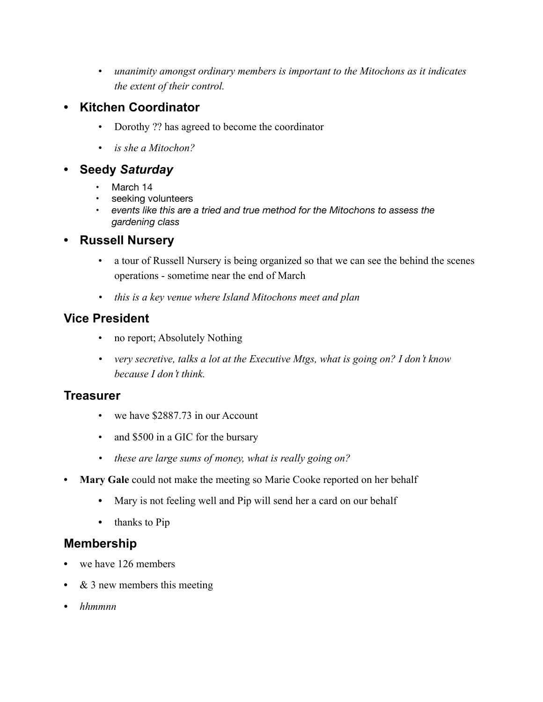• *unanimity amongst ordinary members is important to the Mitochons as it indicates the extent of their control.*

#### **• Kitchen Coordinator**

- Dorothy ?? has agreed to become the coordinator
- *is she a Mitochon?*

#### **• Seedy** *Saturday*

- March 14
- seeking volunteers
- *events like this are a tried and true method for the Mitochons to assess the gardening class*

#### **• Russell Nursery**

- a tour of Russell Nursery is being organized so that we can see the behind the scenes operations - sometime near the end of March
- *• this is a key venue where Island Mitochons meet and plan*

#### **Vice President**

- no report; Absolutely Nothing
- *• very secretive, talks a lot at the Executive Mtgs, what is going on? I don't know because I don't think.*

#### **Treasurer**

- we have \$2887.73 in our Account
- and \$500 in a GIC for the bursary
- *• these are large sums of money, what is really going on?*
- **• Mary Gale** could not make the meeting so Marie Cooke reported on her behalf
	- **•** Mary is not feeling well and Pip will send her a card on our behalf
	- thanks to Pip

#### **Membership**

- **•** we have 126 members
- **•** & 3 new members this meeting
- *• hhmmnn*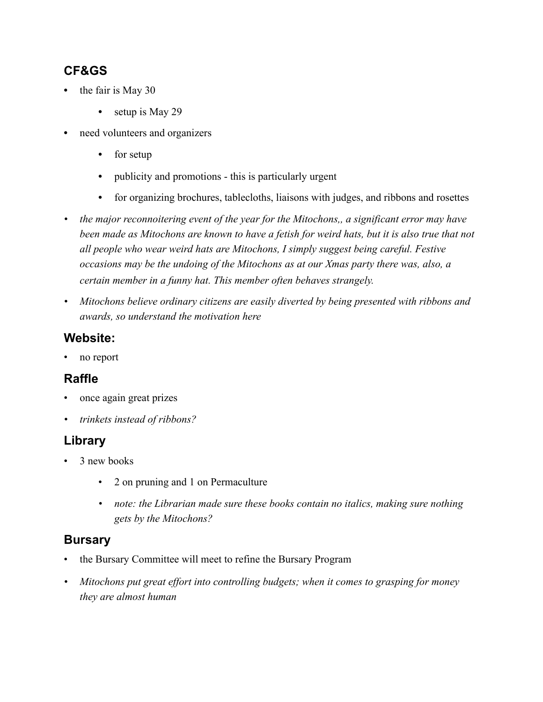### **CF&GS**

- **•** the fair is May 30
	- setup is May 29
- **•** need volunteers and organizers
	- **•** for setup
	- **•** publicity and promotions this is particularly urgent
	- for organizing brochures, tablecloths, liaisons with judges, and ribbons and rosettes
- *• the major reconnoitering event of the year for the Mitochons,, a significant error may have*  been made as Mitochons are known to have a fetish for weird hats, but it is also true that not *all people who wear weird hats are Mitochons, I simply suggest being careful. Festive occasions may be the undoing of the Mitochons as at our Xmas party there was, also, a certain member in a funny hat. This member often behaves strangely.*
- *• Mitochons believe ordinary citizens are easily diverted by being presented with ribbons and awards, so understand the motivation here*

#### **Website:**

no report

#### **Raffle**

- once again great prizes
- *• trinkets instead of ribbons?*

#### **Library**

- 3 new books
	- 2 on pruning and 1 on Permaculture
	- *• note: the Librarian made sure these books contain no italics, making sure nothing gets by the Mitochons?*

#### **Bursary**

- the Bursary Committee will meet to refine the Bursary Program
- *• Mitochons put great effort into controlling budgets; when it comes to grasping for money they are almost human*